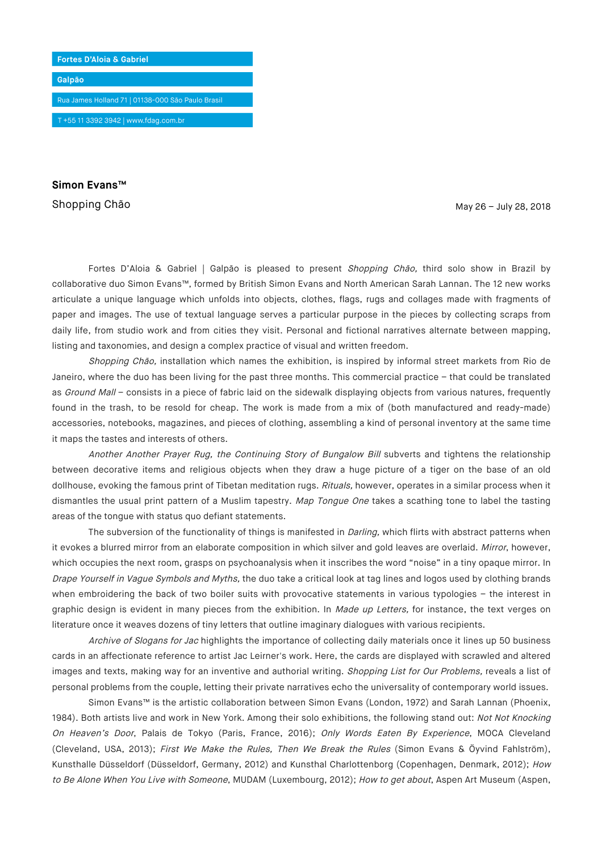

**Simon Evans™**

Shopping Chão May 26 – July 28, 2018

Fortes D'Aloia & Gabriel | Galpão is pleased to present Shopping Chão, third solo show in Brazil by collaborative duo Simon Evans™, formed by British Simon Evans and North American Sarah Lannan. The 12 new works articulate a unique language which unfolds into objects, clothes, flags, rugs and collages made with fragments of paper and images. The use of textual language serves a particular purpose in the pieces by collecting scraps from daily life, from studio work and from cities they visit. Personal and fictional narratives alternate between mapping, listing and taxonomies, and design a complex practice of visual and written freedom.

Shopping Chão, installation which names the exhibition, is inspired by informal street markets from Rio de Janeiro, where the duo has been living for the past three months. This commercial practice – that could be translated as Ground Mall - consists in a piece of fabric laid on the sidewalk displaying objects from various natures, frequently found in the trash, to be resold for cheap. The work is made from a mix of (both manufactured and ready-made) accessories, notebooks, magazines, and pieces of clothing, assembling a kind of personal inventory at the same time it maps the tastes and interests of others.

Another Another Prayer Rug, the Continuing Story of Bungalow Bill subverts and tightens the relationship between decorative items and religious objects when they draw a huge picture of a tiger on the base of an old dollhouse, evoking the famous print of Tibetan meditation rugs. Rituals, however, operates in a similar process when it dismantles the usual print pattern of a Muslim tapestry. Map Tongue One takes a scathing tone to label the tasting areas of the tongue with status quo defiant statements.

The subversion of the functionality of things is manifested in *Darling*, which flirts with abstract patterns when it evokes a blurred mirror from an elaborate composition in which silver and gold leaves are overlaid. Mirror, however, which occupies the next room, grasps on psychoanalysis when it inscribes the word "noise" in a tiny opaque mirror. In Drape Yourself in Vague Symbols and Myths, the duo take a critical look at tag lines and logos used by clothing brands when embroidering the back of two boiler suits with provocative statements in various typologies - the interest in graphic design is evident in many pieces from the exhibition. In Made up Letters, for instance, the text verges on literature once it weaves dozens of tiny letters that outline imaginary dialogues with various recipients.

Archive of Slogans for Jac highlights the importance of collecting daily materials once it lines up 50 business cards in an affectionate reference to artist Jac Leirner's work. Here, the cards are displayed with scrawled and altered images and texts, making way for an inventive and authorial writing. Shopping List for Our Problems, reveals a list of personal problems from the couple, letting their private narratives echo the universality of contemporary world issues.

Simon Evans™ is the artistic collaboration between Simon Evans (London, 1972) and Sarah Lannan (Phoenix, 1984). Both artists live and work in New York. Among their solo exhibitions, the following stand out: Not Not Knocking On Heaven's Door, Palais de Tokyo (Paris, France, 2016); Only Words Eaten By Experience, MOCA Cleveland (Cleveland, USA, 2013); First We Make the Rules, Then We Break the Rules (Simon Evans & Öyvind Fahlström), Kunsthalle Düsseldorf (Düsseldorf, Germany, 2012) and Kunsthal Charlottenborg (Copenhagen, Denmark, 2012); How to Be Alone When You Live with Someone, MUDAM (Luxembourg, 2012); How to get about, Aspen Art Museum (Aspen,